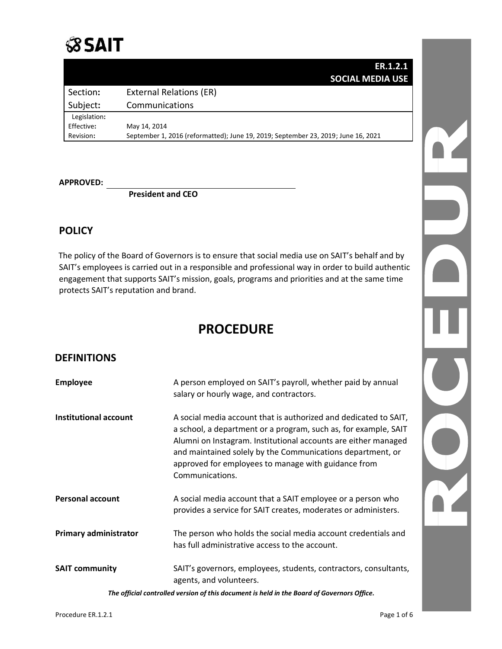# **SSAIT**

|              | ER.1.2.1                                                                          |
|--------------|-----------------------------------------------------------------------------------|
|              | <b>SOCIAL MEDIA USE</b>                                                           |
| Section:     | <b>External Relations (ER)</b>                                                    |
| Subject:     | Communications                                                                    |
| Legislation: |                                                                                   |
| Effective:   | May 14, 2014                                                                      |
| Revision:    | September 1, 2016 (reformatted); June 19, 2019; September 23, 2019; June 16, 2021 |

**APPROVED:**

**President and CEO**

# **POLICY**

The policy of the Board of Governors is to ensure that social media use on SAIT's behalf and by SAIT's employees is carried out in a responsible and professional way in order to build authentic engagement that supports SAIT's mission, goals, programs and priorities and at the same time protects SAIT's reputation and brand.

# **PROCEDURE**

# **DEFINITIONS**

| <b>Employee</b>              | A person employed on SAIT's payroll, whether paid by annual<br>salary or hourly wage, and contractors.                                                                                                                                                                                                                                        |  |
|------------------------------|-----------------------------------------------------------------------------------------------------------------------------------------------------------------------------------------------------------------------------------------------------------------------------------------------------------------------------------------------|--|
| <b>Institutional account</b> | A social media account that is authorized and dedicated to SAIT,<br>a school, a department or a program, such as, for example, SAIT<br>Alumni on Instagram. Institutional accounts are either managed<br>and maintained solely by the Communications department, or<br>approved for employees to manage with guidance from<br>Communications. |  |
| <b>Personal account</b>      | A social media account that a SAIT employee or a person who<br>provides a service for SAIT creates, moderates or administers.                                                                                                                                                                                                                 |  |
| <b>Primary administrator</b> | The person who holds the social media account credentials and<br>has full administrative access to the account.                                                                                                                                                                                                                               |  |
| <b>SAIT community</b>        | SAIT's governors, employees, students, contractors, consultants,<br>agents, and volunteers.                                                                                                                                                                                                                                                   |  |
|                              | The official controlled version of this document is held in the Board of Governors Office.                                                                                                                                                                                                                                                    |  |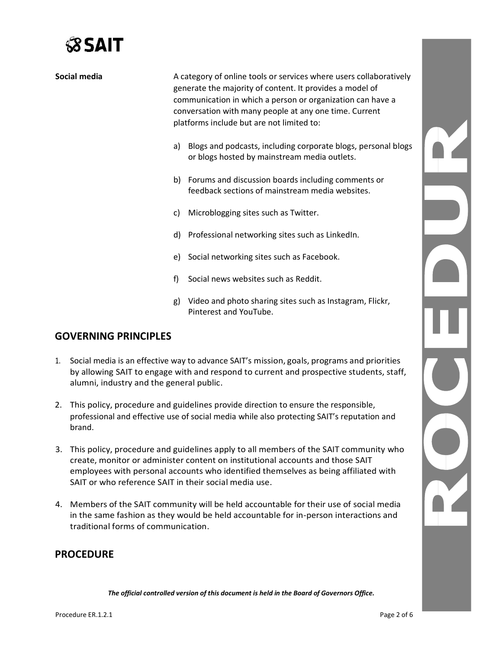

| Social media |    | A category of online tools or services where users collaboratively<br>generate the majority of content. It provides a model of<br>communication in which a person or organization can have a<br>conversation with many people at any one time. Current<br>platforms include but are not limited to: |  |
|--------------|----|-----------------------------------------------------------------------------------------------------------------------------------------------------------------------------------------------------------------------------------------------------------------------------------------------------|--|
|              | a) | Blogs and podcasts, including corporate blogs, personal blogs<br>or blogs hosted by mainstream media outlets.                                                                                                                                                                                       |  |
|              |    | b) Forums and discussion boards including comments or<br>feedback sections of mainstream media websites.                                                                                                                                                                                            |  |
|              | C) | Microblogging sites such as Twitter.                                                                                                                                                                                                                                                                |  |
|              | d) | Professional networking sites such as LinkedIn.                                                                                                                                                                                                                                                     |  |
|              | e) | Social networking sites such as Facebook.                                                                                                                                                                                                                                                           |  |
|              | f  | Social news websites such as Reddit.                                                                                                                                                                                                                                                                |  |
|              | g) | Video and photo sharing sites such as Instagram, Flickr,<br>Pinterest and YouTube.                                                                                                                                                                                                                  |  |
|              |    |                                                                                                                                                                                                                                                                                                     |  |

# **GOVERNING PRINCIPLES**

- 1. Social media is an effective way to advance SAIT's mission, goals, programs and priorities by allowing SAIT to engage with and respond to current and prospective students, staff, alumni, industry and the general public.
- 2. This policy, procedure and guidelines provide direction to ensure the responsible, professional and effective use of social media while also protecting SAIT's reputation and brand.
- 3. This policy, procedure and guidelines apply to all members of the SAIT community who create, monitor or administer content on institutional accounts and those SAIT employees with personal accounts who identified themselves as being affiliated with SAIT or who reference SAIT in their social media use.
- 4. Members of the SAIT community will be held accountable for their use of social media in the same fashion as they would be held accountable for in-person interactions and traditional forms of communication.

# **PROCEDURE**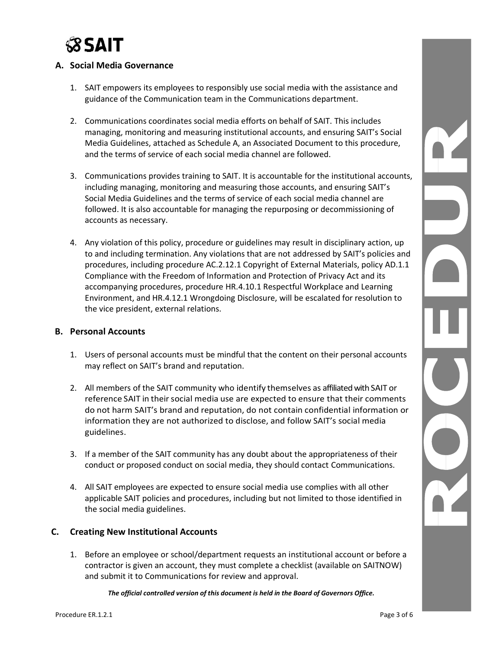

#### **A. Social Media Governance**

- 1. SAIT empowers its employees to responsibly use social media with the assistance and guidance of the Communication team in the Communications department.
- 2. Communications coordinates social media efforts on behalf of SAIT. This includes managing, monitoring and measuring institutional accounts, and ensuring SAIT's Social Media Guidelines, attached as Schedule A, an Associated Document to this procedure, and the terms of service of each social media channel are followed.
- 3. Communications provides training to SAIT. It is accountable for the institutional accounts, including managing, monitoring and measuring those accounts, and ensuring SAIT's Social Media Guidelines and the terms of service of each social media channel are followed. It is also accountable for managing the repurposing or decommissioning of accounts as necessary.
- 4. Any violation of this policy, procedure or guidelines may result in disciplinary action, up to and including termination. Any violations that are not addressed by SAIT's policies and procedures, including procedure AC.2.12.1 Copyright of External Materials, policy AD.1.1 Compliance with the Freedom of Information and Protection of Privacy Act and its accompanying procedures, procedure HR.4.10.1 Respectful Workplace and Learning Environment, and HR.4.12.1 Wrongdoing Disclosure, will be escalated for resolution to the vice president, external relations.

#### **B. Personal Accounts**

- 1. Users of personal accounts must be mindful that the content on their personal accounts may reflect on SAIT's brand and reputation.
- 2. All members of the SAIT community who identify themselves as affiliated with SAIT or reference SAIT in their social media use are expected to ensure that their comments do not harm SAIT's brand and reputation, do not contain confidential information or information they are not authorized to disclose, and follow SAIT's social media guidelines.
- 3. If a member of the SAIT community has any doubt about the appropriateness of their conduct or proposed conduct on social media, they should contact Communications.
- 4. All SAIT employees are expected to ensure social media use complies with all other applicable SAIT policies and procedures, including but not limited to those identified in the social media guidelines.

#### **C. Creating New Institutional Accounts**

1. Before an employee or school/department requests an institutional account or before a contractor is given an account, they must complete a checklist (available on SAITNOW) and submit it to Communications for review and approval.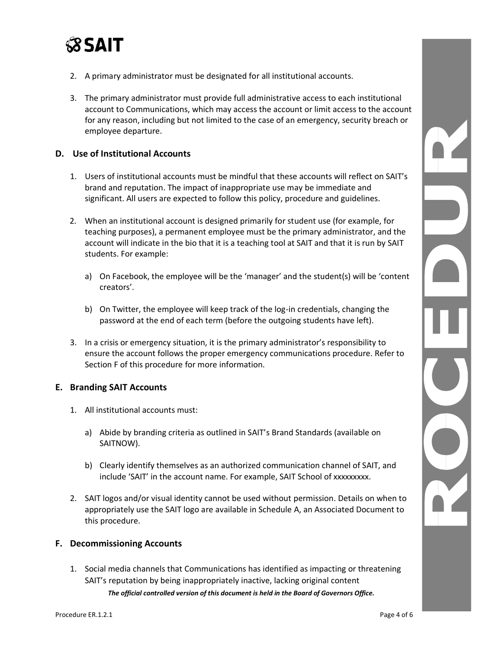

- 2. A primary administrator must be designated for all institutional accounts.
- 3. The primary administrator must provide full administrative access to each institutional account to Communications, which may access the account or limit access to the account for any reason, including but not limited to the case of an emergency, security breach or employee departure.

#### **D. Use of Institutional Accounts**

- 1. Users of institutional accounts must be mindful that these accounts will reflect on SAIT's brand and reputation. The impact of inappropriate use may be immediate and significant. All users are expected to follow this policy, procedure and guidelines.
- 2. When an institutional account is designed primarily for student use (for example, for teaching purposes), a permanent employee must be the primary administrator, and the account will indicate in the bio that it is a teaching tool at SAIT and that it is run by SAIT students. For example:
	- a) On Facebook, the employee will be the 'manager' and the student(s) will be 'content creators'.
	- b) On Twitter, the employee will keep track of the log-in credentials, changing the password at the end of each term (before the outgoing students have left).
- 3. In a crisis or emergency situation, it is the primary administrator's responsibility to ensure the account follows the proper emergency communications procedure. Refer to Section F of this procedure for more information.

#### **E. Branding SAIT Accounts**

- 1. All institutional accounts must:
	- a) Abide by branding criteria as outlined in SAIT's Brand Standards (available on SAITNOW).
	- b) Clearly identify themselves as an authorized communication channel of SAIT, and include 'SAIT' in the account name. For example, SAIT School of xxxxxxxxx.
- 2. SAIT logos and/or visual identity cannot be used without permission. Details on when to appropriately use the SAIT logo are available in Schedule A, an Associated Document to this procedure.

#### **F. Decommissioning Accounts**

*The official controlled version of this document is held in the Board of Governors Office.* 1. Social media channels that Communications has identified as impacting or threatening SAIT's reputation by being inappropriately inactive, lacking original content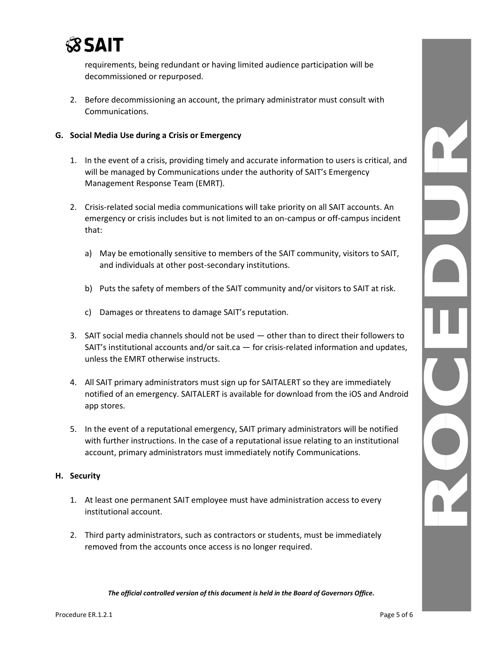

requirements, being redundant or having limited audience participation will be decommissioned or repurposed.

2. Before decommissioning an account, the primary administrator must consult with Communications.

#### **G. Social Media Use during a Crisis or Emergency**

- 1. In the event of a crisis, providing timely and accurate information to users is critical, and will be managed by Communications under the authority of SAIT's Emergency Management Response Team (EMRT).
- 2. Crisis-related social media communications will take priority on all SAIT accounts. An emergency or crisis includes but is not limited to an on-campus or off-campus incident that:
	- a) May be emotionally sensitive to members of the SAIT community, visitors to SAIT, and individuals at other post-secondary institutions.
	- b) Puts the safety of members of the SAIT community and/or visitors to SAIT at risk.
	- c) Damages or threatens to damage SAIT's reputation.
- 3. SAIT social media channels should not be used other than to direct their followers to SAIT's institutional accounts and/or sait.ca — for crisis-related information and updates, unless the EMRT otherwise instructs.
- 4. All SAIT primary administrators must sign up for SAITALERT so they are immediately notified of an emergency. SAITALERT is available for download from the iOS and Android app stores.
- 5. In the event of a reputational emergency, SAIT primary administrators will be notified with further instructions. In the case of a reputational issue relating to an institutional account, primary administrators must immediately notify Communications.

#### **H. Security**

- 1. At least one permanent SAIT employee must have administration access to every institutional account.
- 2. Third party administrators, such as contractors or students, must be immediately removed from the accounts once access is no longer required.